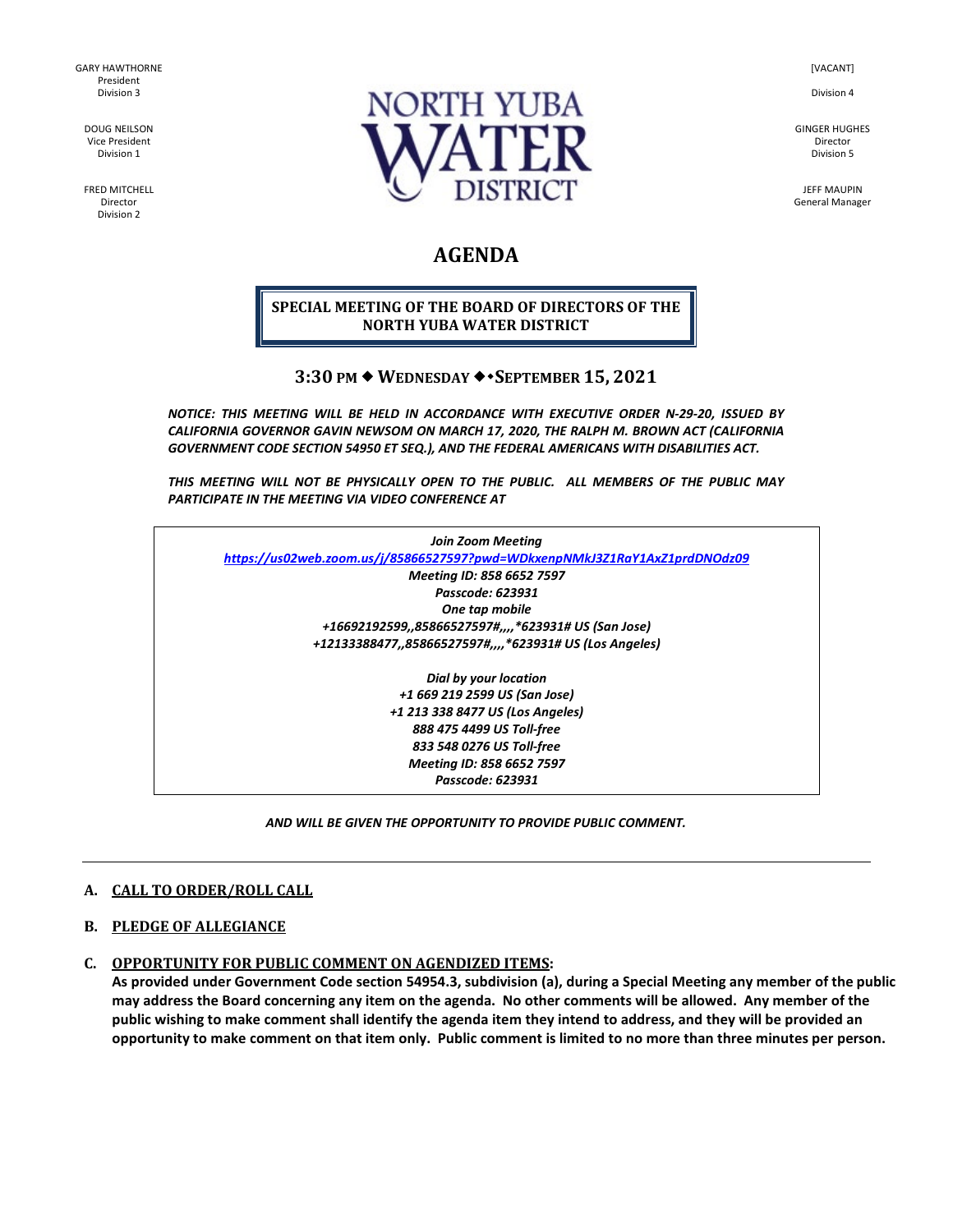GARY HAWTHORNE President Division 3

DOUG NEILSON Vice President Division 1

FRED MITCHELL Director Division 2



[VACANT]

Division 4

GINGER HUGHES Director Division 5

JEFF MAUPIN General Manager

# **AGENDA**

## **SPECIAL MEETING OF THE BOARD OF DIRECTORS OF THE NORTH YUBA WATER DISTRICT**

# **3:30 PM WEDNESDAY SEPTEMBER 15, 2021**

*NOTICE: THIS MEETING WILL BE HELD IN ACCORDANCE WITH EXECUTIVE ORDER N-29-20, ISSUED BY CALIFORNIA GOVERNOR GAVIN NEWSOM ON MARCH 17, 2020, THE RALPH M. BROWN ACT (CALIFORNIA GOVERNMENT CODE SECTION 54950 ET SEQ.), AND THE FEDERAL AMERICANS WITH DISABILITIES ACT.* 

*THIS MEETING WILL NOT BE PHYSICALLY OPEN TO THE PUBLIC. ALL MEMBERS OF THE PUBLIC MAY PARTICIPATE IN THE MEETING VIA VIDEO CONFERENCE AT* 

| <b>Join Zoom Meeting</b>                                                   |  |
|----------------------------------------------------------------------------|--|
| https://us02web.zoom.us/j/85866527597?pwd=WDkxenpNMkJ3Z1RaY1AxZ1prdDNOdz09 |  |
| Meeting ID: 858 6652 7597                                                  |  |
| Passcode: 623931                                                           |  |
| One tap mobile                                                             |  |
| +16692192599,,85866527597#,,,,*623931# US (San Jose)                       |  |
| +12133388477,,85866527597#,,,,*623931# US (Los Angeles)                    |  |
| Dial by your location                                                      |  |
| +1 669 219 2599 US (San Jose)                                              |  |
| +1 213 338 8477 US (Los Angeles)                                           |  |
| 888 475 4499 US Toll-free                                                  |  |
| 833 548 0276 US Toll-free                                                  |  |
| Meeting ID: 858 6652 7597                                                  |  |

*Passcode: 623931*

*AND WILL BE GIVEN THE OPPORTUNITY TO PROVIDE PUBLIC COMMENT.* 

#### **A. CALL TO ORDER/ROLL CALL**

#### **B. PLEDGE OF ALLEGIANCE**

# **C. OPPORTUNITY FOR PUBLIC COMMENT ON AGENDIZED ITEMS:**

**As provided under Government Code section 54954.3, subdivision (a), during a Special Meeting any member of the public may address the Board concerning any item on the agenda. No other comments will be allowed. Any member of the public wishing to make comment shall identify the agenda item they intend to address, and they will be provided an opportunity to make comment on that item only. Public comment is limited to no more than three minutes per person.**